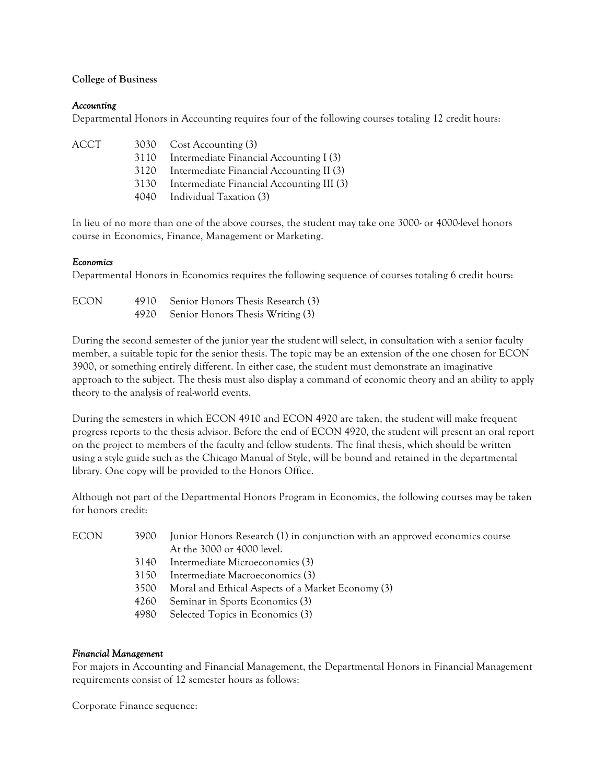# **College of Business**

# *Accounting*

Departmental Honors in Accounting requires four of the following courses totaling 12 credit hours:

| ACCT |      | 3030 Cost Accounting (3)                  |
|------|------|-------------------------------------------|
|      | 3110 | Intermediate Financial Accounting I (3)   |
|      | 3120 | Intermediate Financial Accounting II (3)  |
|      | 3130 | Intermediate Financial Accounting III (3) |
|      |      | 4040 Individual Taxation (3)              |

In lieu of no more than one of the above courses, the student may take one 3000- or 4000-level honors course in Economics, Finance, Management or Marketing.

# *Economics*

Departmental Honors in Economics requires the following sequence of courses totaling 6 credit hours:

| <b>ECON</b> | 4910 Senior Honors Thesis Research (3) |
|-------------|----------------------------------------|
|             | 4920 Senior Honors Thesis Writing (3)  |

During the second semester of the junior year the student will select, in consultation with a senior faculty member, a suitable topic for the senior thesis. The topic may be an extension of the one chosen for ECON 3900, or something entirely different. In either case, the student must demonstrate an imaginative approach to the subject. The thesis must also display a command of economic theory and an ability to apply theory to the analysis of real-world events.

During the semesters in which ECON 4910 and ECON 4920 are taken, the student will make frequent progress reports to the thesis advisor. Before the end of ECON 4920, the student will present an oral report on the project to members of the faculty and fellow students. The final thesis, which should be written using a style guide such as the Chicago Manual of Style, will be bound and retained in the departmental library. One copy will be provided to the Honors Office.

Although not part of the Departmental Honors Program in Economics, the following courses may be taken for honors credit:

| ECON<br>3900 |      | Junior Honors Research (1) in conjunction with an approved economics course |
|--------------|------|-----------------------------------------------------------------------------|
|              |      | At the 3000 or 4000 level.                                                  |
|              | 3140 | Intermediate Microeconomics (3)                                             |
|              | 3150 | Intermediate Macroeconomics (3)                                             |
|              | 3500 | Moral and Ethical Aspects of a Market Economy (3)                           |
|              | 4260 | Seminar in Sports Economics (3)                                             |
|              | 4980 | Selected Topics in Economics (3)                                            |
|              |      |                                                                             |

### *Financial Management*

For majors in Accounting and Financial Management, the Departmental Honors in Financial Management requirements consist of 12 semester hours as follows:

Corporate Finance sequence: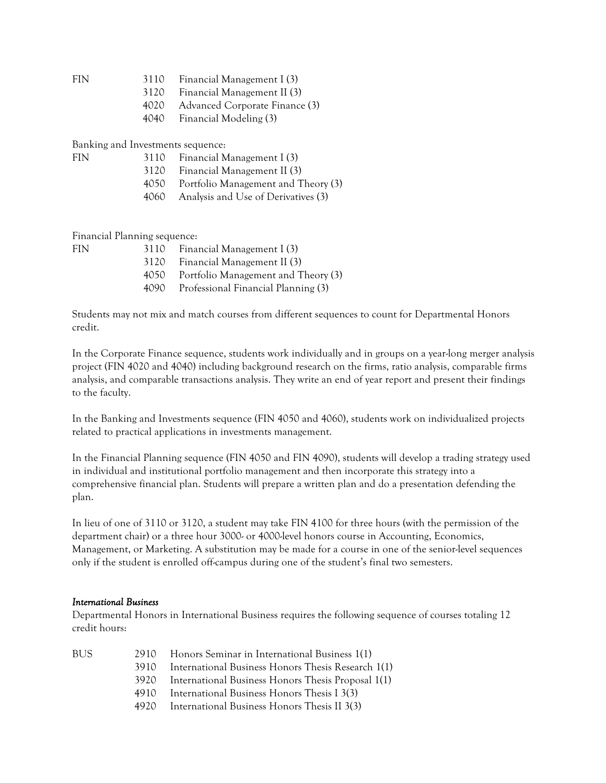FIN 3110 Financial Management I (3)

- 3120 Financial Management II (3)
- 4020 Advanced Corporate Finance (3)
- 4040 Financial Modeling (3)

Banking and Investments sequence:

- FIN 3110 Financial Management I (3)
	- 3120 Financial Management II (3)
	- 4050 Portfolio Management and Theory (3)
	- 4060 Analysis and Use of Derivatives (3)

Financial Planning sequence:

| FIN. | 3110 | Financial Management I (3)          |
|------|------|-------------------------------------|
|      | 3120 | Financial Management II (3)         |
|      | 4050 | Portfolio Management and Theory (3) |
|      | 4090 | Professional Financial Planning (3) |
|      |      |                                     |

Students may not mix and match courses from different sequences to count for Departmental Honors credit.

In the Corporate Finance sequence, students work individually and in groups on a year-long merger analysis project (FIN 4020 and 4040) including background research on the firms, ratio analysis, comparable firms analysis, and comparable transactions analysis. They write an end of year report and present their findings to the faculty.

In the Banking and Investments sequence (FIN 4050 and 4060), students work on individualized projects related to practical applications in investments management.

In the Financial Planning sequence (FIN 4050 and FIN 4090), students will develop a trading strategy used in individual and institutional portfolio management and then incorporate this strategy into a comprehensive financial plan. Students will prepare a written plan and do a presentation defending the plan.

In lieu of one of 3110 or 3120, a student may take FIN 4100 for three hours (with the permission of the department chair) or a three hour 3000- or 4000-level honors course in Accounting, Economics, Management, or Marketing. A substitution may be made for a course in one of the senior-level sequences only if the student is enrolled off-campus during one of the student's final two semesters.

### *International Business*

Departmental Honors in International Business requires the following sequence of courses totaling 12 credit hours:

| BUS. |        | 2910 Honors Seminar in International Business 1(1) |
|------|--------|----------------------------------------------------|
|      | 3910   | International Business Honors Thesis Research 1(1) |
|      | 3920-  | International Business Honors Thesis Proposal 1(1) |
|      | 4910 F | International Business Honors Thesis I 3(3)        |
|      | 4920   | International Business Honors Thesis II 3(3)       |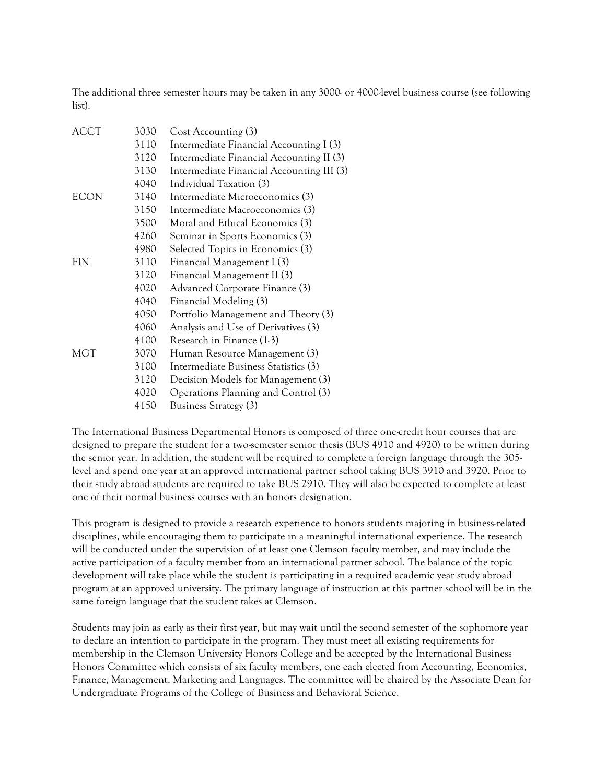The additional three semester hours may be taken in any 3000- or 4000-level business course (see following list).

| ACCT | 3030 | Cost Accounting (3)                       |
|------|------|-------------------------------------------|
|      | 3110 | Intermediate Financial Accounting I (3)   |
|      | 3120 | Intermediate Financial Accounting II (3)  |
|      | 3130 | Intermediate Financial Accounting III (3) |
|      | 4040 | Individual Taxation (3)                   |
| ECON | 3140 | Intermediate Microeconomics (3)           |
|      | 3150 | Intermediate Macroeconomics (3)           |
|      | 3500 | Moral and Ethical Economics (3)           |
|      | 4260 | Seminar in Sports Economics (3)           |
|      | 4980 | Selected Topics in Economics (3)          |
| FIN  | 3110 | Financial Management I (3)                |
|      | 3120 | Financial Management II (3)               |
|      | 4020 | Advanced Corporate Finance (3)            |
|      | 4040 | Financial Modeling (3)                    |
|      | 4050 | Portfolio Management and Theory (3)       |
|      | 4060 | Analysis and Use of Derivatives (3)       |
|      | 4100 | Research in Finance (1-3)                 |
| MGT  | 3070 | Human Resource Management (3)             |
|      | 3100 | Intermediate Business Statistics (3)      |
|      | 3120 | Decision Models for Management (3)        |
|      | 4020 | Operations Planning and Control (3)       |
|      | 4150 | Business Strategy (3)                     |

The International Business Departmental Honors is composed of three one-credit hour courses that are designed to prepare the student for a two-semester senior thesis (BUS 4910 and 4920) to be written during the senior year. In addition, the student will be required to complete a foreign language through the 305 level and spend one year at an approved international partner school taking BUS 3910 and 3920. Prior to their study abroad students are required to take BUS 2910. They will also be expected to complete at least one of their normal business courses with an honors designation.

This program is designed to provide a research experience to honors students majoring in business-related disciplines, while encouraging them to participate in a meaningful international experience. The research will be conducted under the supervision of at least one Clemson faculty member, and may include the active participation of a faculty member from an international partner school. The balance of the topic development will take place while the student is participating in a required academic year study abroad program at an approved university. The primary language of instruction at this partner school will be in the same foreign language that the student takes at Clemson.

Students may join as early as their first year, but may wait until the second semester of the sophomore year to declare an intention to participate in the program. They must meet all existing requirements for membership in the Clemson University Honors College and be accepted by the International Business Honors Committee which consists of six faculty members, one each elected from Accounting, Economics, Finance, Management, Marketing and Languages. The committee will be chaired by the Associate Dean for Undergraduate Programs of the College of Business and Behavioral Science.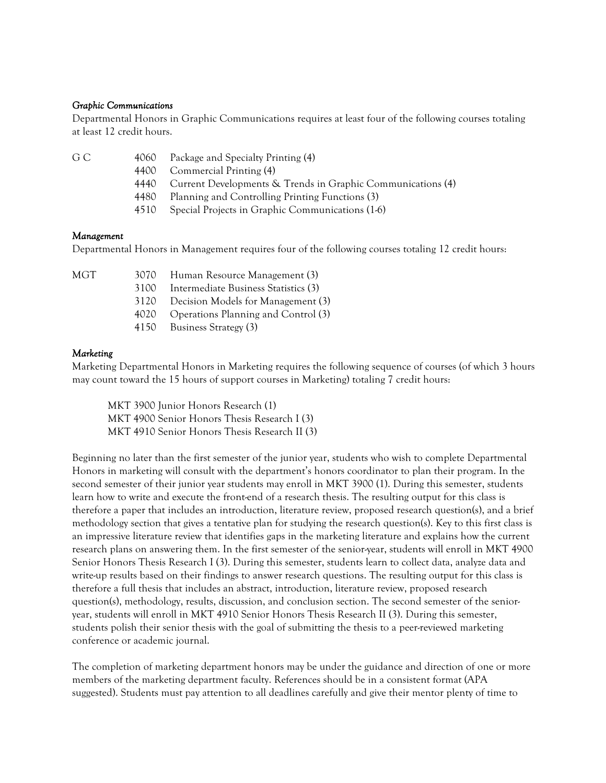### *Graphic Communications*

Departmental Honors in Graphic Communications requires at least four of the following courses totaling at least 12 credit hours.

| . .          |   |  |
|--------------|---|--|
| I<br>۰,<br>× | × |  |

- 4060 Package and Specialty Printing (4)
	- 4400 Commercial Printing (4)
	- 4440 Current Developments & Trends in Graphic Communications (4)
	- 4480 Planning and Controlling Printing Functions (3)
	- 4510 Special Projects in Graphic Communications (1-6)

#### *Management*

Departmental Honors in Management requires four of the following courses totaling 12 credit hours:

| MGT |      | 3070 Human Resource Management (3)       |
|-----|------|------------------------------------------|
|     | 3100 | Intermediate Business Statistics (3)     |
|     | 3120 | Decision Models for Management (3)       |
|     |      | 4020 Operations Planning and Control (3) |
|     |      | 4150 Business Strategy (3)               |

#### *Marketing*

Marketing Departmental Honors in Marketing requires the following sequence of courses (of which 3 hours may count toward the 15 hours of support courses in Marketing) totaling 7 credit hours:

MKT 3900 Junior Honors Research (1) MKT 4900 Senior Honors Thesis Research I (3) MKT 4910 Senior Honors Thesis Research II (3)

Beginning no later than the first semester of the junior year, students who wish to complete Departmental Honors in marketing will consult with the department's honors coordinator to plan their program. In the second semester of their junior year students may enroll in MKT 3900 (1). During this semester, students learn how to write and execute the front-end of a research thesis. The resulting output for this class is therefore a paper that includes an introduction, literature review, proposed research question(s), and a brief methodology section that gives a tentative plan for studying the research question(s). Key to this first class is an impressive literature review that identifies gaps in the marketing literature and explains how the current research plans on answering them. In the first semester of the senior-year, students will enroll in MKT 4900 Senior Honors Thesis Research I (3). During this semester, students learn to collect data, analyze data and write-up results based on their findings to answer research questions. The resulting output for this class is therefore a full thesis that includes an abstract, introduction, literature review, proposed research question(s), methodology, results, discussion, and conclusion section. The second semester of the senioryear, students will enroll in MKT 4910 Senior Honors Thesis Research II (3). During this semester, students polish their senior thesis with the goal of submitting the thesis to a peer-reviewed marketing conference or academic journal.

The completion of marketing department honors may be under the guidance and direction of one or more members of the marketing department faculty. References should be in a consistent format (APA suggested). Students must pay attention to all deadlines carefully and give their mentor plenty of time to